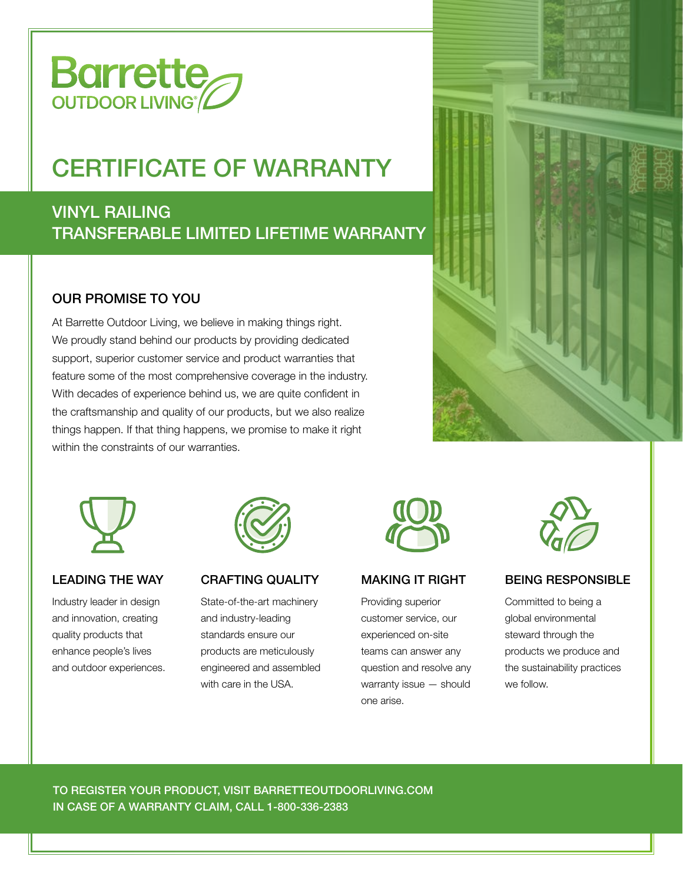

# CERTIFICATE OF WARRANTY

## TRANSFERABLE LIMITED LIFETIME WARRANTY VINYL RAILING

### OUR PROMISE TO YOU

At Barrette Outdoor Living, we believe in making things right. We proudly stand behind our products by providing dedicated support, superior customer service and product warranties that feature some of the most comprehensive coverage in the industry. With decades of experience behind us, we are quite confident in the craftsmanship and quality of our products, but we also realize things happen. If that thing happens, we promise to make it right within the constraints of our warranties.





#### LEADING THE WAY

Industry leader in design and innovation, creating quality products that enhance people's lives and outdoor experiences.



#### CRAFTING QUALITY

State-of-the-art machinery and industry-leading standards ensure our products are meticulously engineered and assembled with care in the USA.



#### MAKING IT RIGHT

Providing superior customer service, our experienced on-site teams can answer any question and resolve any warranty issue — should one arise.



#### BEING RESPONSIBLE

Committed to being a global environmental steward through the products we produce and the sustainability practices we follow.

TO REGISTER YOUR PRODUCT, VISIT BARRETTEOUTDOORLIVING.COM IN CASE OF A WARRANTY CLAIM, CALL 1-800-336-2383